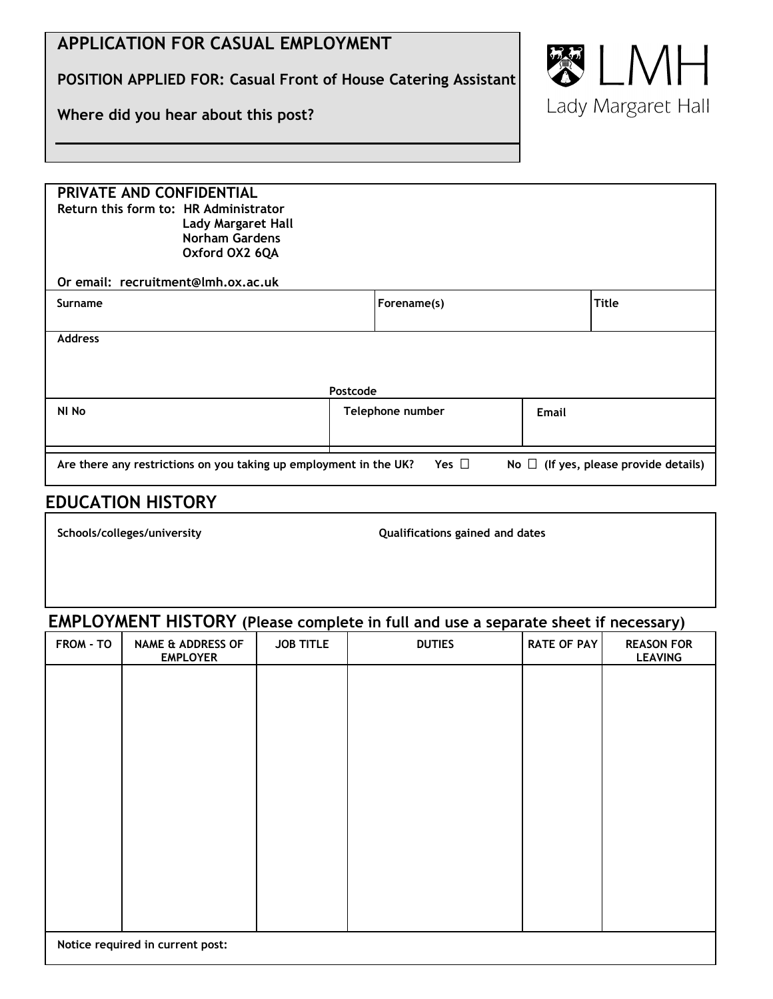# **APPLICATION FOR CASUAL EMPLOYMENT**

**POSITION APPLIED FOR: Casual Front of House Catering Assistant**

**Where did you hear about this post?**



| PRIVATE AND CONFIDENTIAL<br>Return this form to: HR Administrator<br><b>Lady Margaret Hall</b><br><b>Norham Gardens</b><br>Oxford OX2 6QA |                  |             |       |       |  |  |  |
|-------------------------------------------------------------------------------------------------------------------------------------------|------------------|-------------|-------|-------|--|--|--|
| Or email: recruitment@lmh.ox.ac.uk                                                                                                        |                  |             |       |       |  |  |  |
| <b>Surname</b>                                                                                                                            |                  | Forename(s) |       | Title |  |  |  |
| <b>Address</b><br>Postcode                                                                                                                |                  |             |       |       |  |  |  |
| NI No                                                                                                                                     | Telephone number |             | Email |       |  |  |  |
| Yes $\Box$<br>Are there any restrictions on you taking up employment in the UK?<br>No $\Box$ (If yes, please provide details)             |                  |             |       |       |  |  |  |

## **EDUCATION HISTORY**

**Schools/colleges/university Qualifications gained and dates**

### **EMPLOYMENT HISTORY (Please complete in full and use a separate sheet if necessary)**

| FROM - TO | <b>NAME &amp; ADDRESS OF</b><br><b>EMPLOYER</b> | <b>JOB TITLE</b> | <b>DUTIES</b> | <b>RATE OF PAY</b> | <b>REASON FOR</b><br><b>LEAVING</b> |
|-----------|-------------------------------------------------|------------------|---------------|--------------------|-------------------------------------|
|           |                                                 |                  |               |                    |                                     |
|           |                                                 |                  |               |                    |                                     |
|           |                                                 |                  |               |                    |                                     |
|           |                                                 |                  |               |                    |                                     |
|           |                                                 |                  |               |                    |                                     |
|           |                                                 |                  |               |                    |                                     |
|           |                                                 |                  |               |                    |                                     |
|           |                                                 |                  |               |                    |                                     |
|           | Notice required in current post:                |                  |               |                    |                                     |